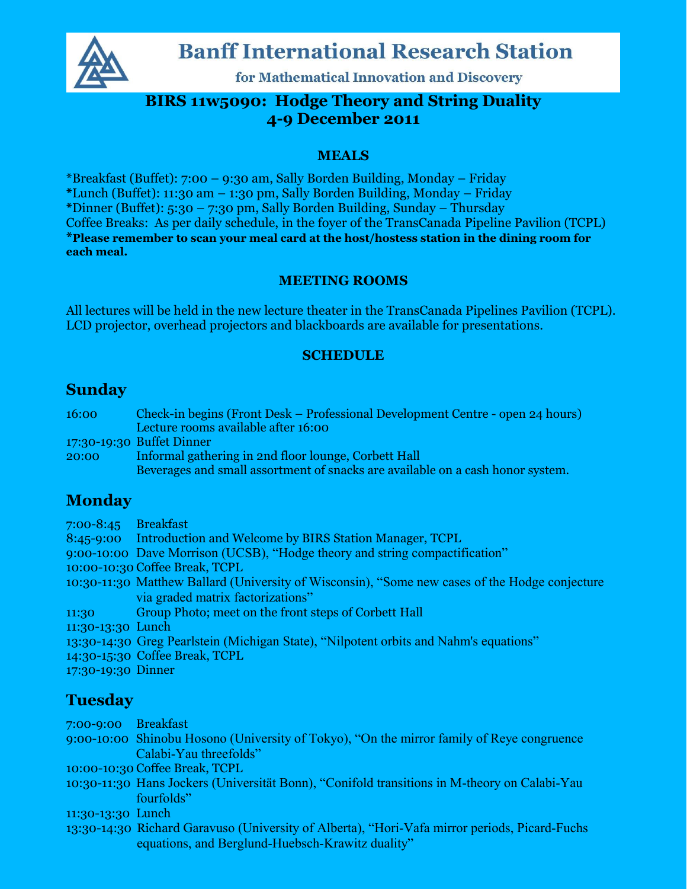

# **Banff International Research Station**

for Mathematical Innovation and Discovery

# **BIRS 11w5090: Hodge Theory and String Duality 4=9%December%2011**

#### **MEALS%**

\*Breakfast (Buffet): 7:00  $-$  9:30 am, Sally Borden Building, Monday  $-$  Friday

\*Lunch (Buffet): 11:30 am - 1:30 pm, Sally Borden Building, Monday - Friday

**\***Dinner!(Buffet):!5:30!± 7:30!pm,!Sally!Borden!Building,!Sunday!± Thursday

Coffee Breaks: As per daily schedule, in the foyer of the TransCanada Pipeline Pavilion (TCPL) \*Please remember to scan your meal card at the host/hostess station in the dining room for **each meal.** 

#### **MEETING ROOMS**

All lectures will be held in the new lecture theater in the TransCanada Pipelines Pavilion (TCPL). LCD projector, overhead projectors and blackboards are available for presentations.

#### **SCHEDULE**

### **Sunday**

16:00 Check-in begins (Front Desk – Professional Development Centre - open 24 hours) Lecture rooms available after 16:00

17:30-19:30 Buffet Dinner

20:00 Informal gathering in 2nd floor lounge, Corbett Hall Beverages and small assortment of snacks are available on a cash honor system.

# **Monday**

7:00-8:45 Breakfast 8:45-9:00 Introduction and Welcome by BIRS Station Manager, TCPL 9:00-10:00 Dave Morrison (UCSB), "Hodge theory and string compactification" 10:00-10:30 Coffee Break, TCPL 10:30-11:30 Matthew Ballard (University of Wisconsin), "Some new cases of the Hodge conjecture via graded matrix factorizations" 11:30 Group Photo; meet on the front steps of Corbett Hall 11:30-13:30 Lunch 13:30-14:30 Greg Pearlstein (Michigan State), "Nilpotent orbits and Nahm's equations" 14:30-15:30 Coffee Break, TCPL

17:30-19:30 Dinner

# **Tuesday**

7:00-9:00 Breakfast

9:00-10:00 Shinobu Hosono (University of Tokyo), "On the mirror family of Reye congruence Calabi-Yau threefolds"

10:00-10:30 Coffee Break, TCPL

10:30-11:30 Hans Jockers (Universität Bonn), "Conifold transitions in M-theory on Calabi-Yau fourfolds"

11:30-13:30 Lunch

13:30-14:30 Richard Garavuso (University of Alberta), "Hori-Vafa mirror periods, Picard-Fuchs equations, and Berglund-Huebsch-Krawitz duality"